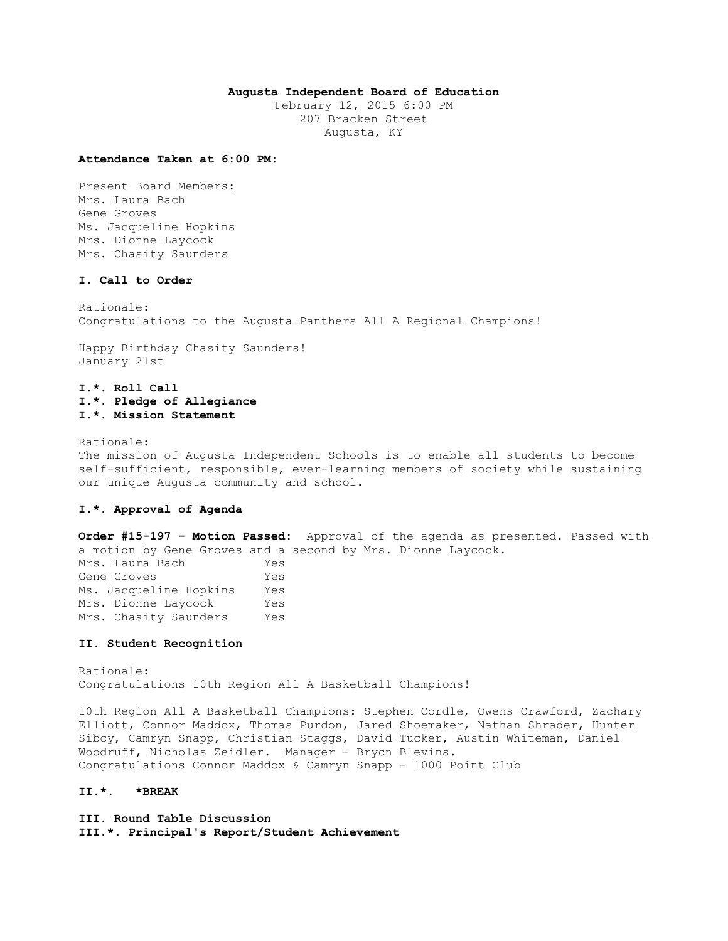## **Augusta Independent Board of Education**

February 12, 2015 6:00 PM 207 Bracken Street Augusta, KY

#### **Attendance Taken at 6:00 PM:**

Present Board Members: Mrs. Laura Bach Gene Groves Ms. Jacqueline Hopkins Mrs. Dionne Laycock Mrs. Chasity Saunders

## **I. Call to Order**

Rationale: Congratulations to the Augusta Panthers All A Regional Champions!

Happy Birthday Chasity Saunders! January 21st

# **I.\*. Roll Call I.\*. Pledge of Allegiance I.\*. Mission Statement**

Rationale:

The mission of Augusta Independent Schools is to enable all students to become self-sufficient, responsible, ever-learning members of society while sustaining our unique Augusta community and school.

## **I.\*. Approval of Agenda**

**Order #15-197 - Motion Passed:** Approval of the agenda as presented. Passed with a motion by Gene Groves and a second by Mrs. Dionne Laycock.

Mrs. Laura Bach Yes Gene Groves Yes Ms. Jacqueline Hopkins Yes Mrs. Dionne Laycock Yes Mrs. Chasity Saunders Yes

### **II. Student Recognition**

Rationale: Congratulations 10th Region All A Basketball Champions!

10th Region All A Basketball Champions: Stephen Cordle, Owens Crawford, Zachary Elliott, Connor Maddox, Thomas Purdon, Jared Shoemaker, Nathan Shrader, Hunter Sibcy, Camryn Snapp, Christian Staggs, David Tucker, Austin Whiteman, Daniel Woodruff, Nicholas Zeidler. Manager - Brycn Blevins. Congratulations Connor Maddox & Camryn Snapp - 1000 Point Club

# **II.\*. \*BREAK**

**III. Round Table Discussion III.\*. Principal's Report/Student Achievement**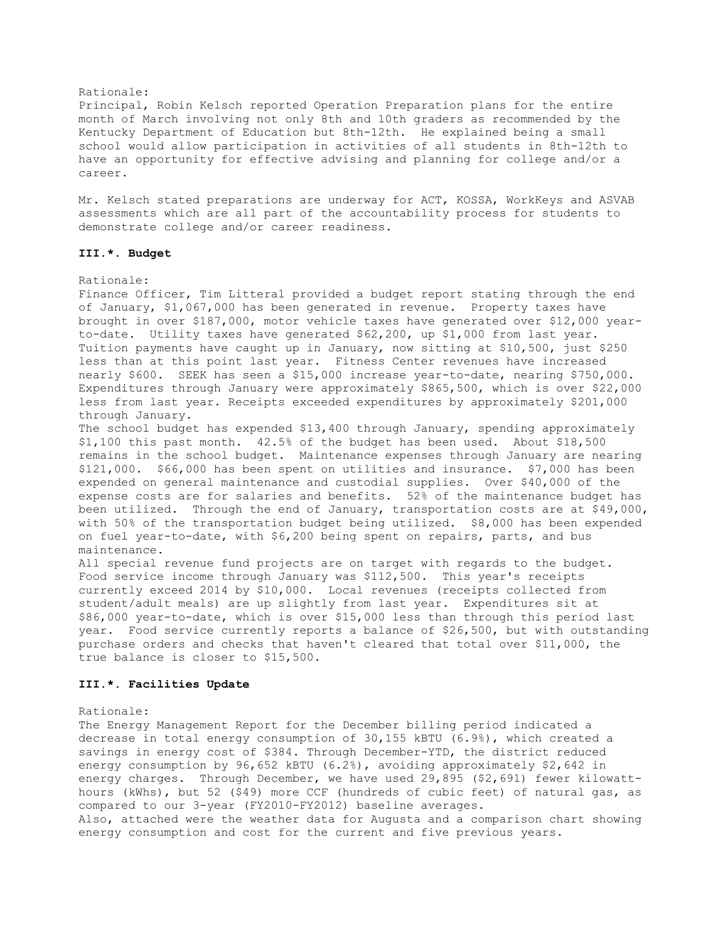## Rationale:

Principal, Robin Kelsch reported Operation Preparation plans for the entire month of March involving not only 8th and 10th graders as recommended by the Kentucky Department of Education but 8th-12th. He explained being a small school would allow participation in activities of all students in 8th-12th to have an opportunity for effective advising and planning for college and/or a career.

Mr. Kelsch stated preparations are underway for ACT, KOSSA, WorkKeys and ASVAB assessments which are all part of the accountability process for students to demonstrate college and/or career readiness.

## **III.\*. Budget**

### Rationale:

Finance Officer, Tim Litteral provided a budget report stating through the end of January, \$1,067,000 has been generated in revenue. Property taxes have brought in over \$187,000, motor vehicle taxes have generated over \$12,000 yearto-date. Utility taxes have generated \$62,200, up \$1,000 from last year. Tuition payments have caught up in January, now sitting at \$10,500, just \$250 less than at this point last year. Fitness Center revenues have increased nearly \$600. SEEK has seen a \$15,000 increase year-to-date, nearing \$750,000. Expenditures through January were approximately \$865,500, which is over \$22,000 less from last year. Receipts exceeded expenditures by approximately \$201,000 through January.

The school budget has expended \$13,400 through January, spending approximately \$1,100 this past month. 42.5% of the budget has been used. About \$18,500 remains in the school budget. Maintenance expenses through January are nearing \$121,000. \$66,000 has been spent on utilities and insurance. \$7,000 has been expended on general maintenance and custodial supplies. Over \$40,000 of the expense costs are for salaries and benefits. 52% of the maintenance budget has been utilized. Through the end of January, transportation costs are at \$49,000, with 50% of the transportation budget being utilized. \$8,000 has been expended on fuel year-to-date, with \$6,200 being spent on repairs, parts, and bus maintenance.

All special revenue fund projects are on target with regards to the budget. Food service income through January was \$112,500. This year's receipts currently exceed 2014 by \$10,000. Local revenues (receipts collected from student/adult meals) are up slightly from last year. Expenditures sit at \$86,000 year-to-date, which is over \$15,000 less than through this period last year. Food service currently reports a balance of \$26,500, but with outstanding purchase orders and checks that haven't cleared that total over \$11,000, the true balance is closer to \$15,500.

## **III.\*. Facilities Update**

#### Rationale:

The Energy Management Report for the December billing period indicated a decrease in total energy consumption of 30,155 kBTU (6.9%), which created a savings in energy cost of \$384. Through December-YTD, the district reduced energy consumption by 96,652 kBTU (6.2%), avoiding approximately \$2,642 in energy charges. Through December, we have used 29,895 (\$2,691) fewer kilowatthours (kWhs), but 52 (\$49) more CCF (hundreds of cubic feet) of natural gas, as compared to our 3-year (FY2010-FY2012) baseline averages. Also, attached were the weather data for Augusta and a comparison chart showing energy consumption and cost for the current and five previous years.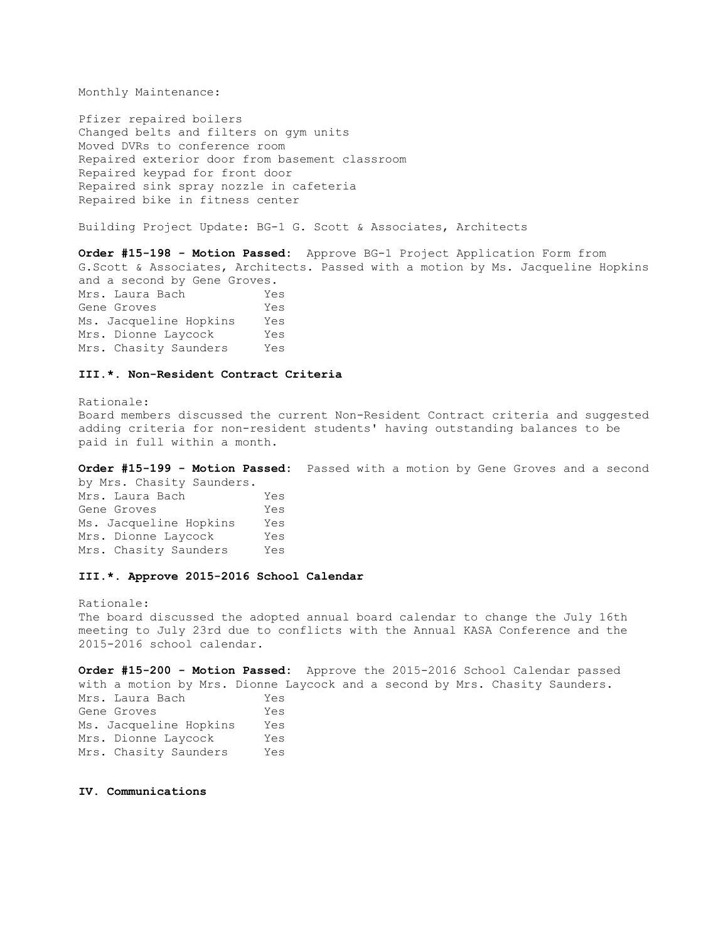Monthly Maintenance:

Pfizer repaired boilers Changed belts and filters on gym units Moved DVRs to conference room Repaired exterior door from basement classroom Repaired keypad for front door Repaired sink spray nozzle in cafeteria Repaired bike in fitness center

Building Project Update: BG-1 G. Scott & Associates, Architects

**Order #15-198 - Motion Passed:** Approve BG-1 Project Application Form from G.Scott & Associates, Architects. Passed with a motion by Ms. Jacqueline Hopkins and a second by Gene Groves. Mrs. Laura Bach Yes Gene Groves Yes Ms. Jacqueline Hopkins Yes Mrs. Dionne Laycock Yes Mrs. Chasity Saunders Yes

### **III.\*. Non-Resident Contract Criteria**

Rationale: Board members discussed the current Non-Resident Contract criteria and suggested adding criteria for non-resident students' having outstanding balances to be paid in full within a month.

**Order #15-199 - Motion Passed:** Passed with a motion by Gene Groves and a second

by Mrs. Chasity Saunders. Mrs. Laura Bach Yes Gene Groves Yes Ms. Jacqueline Hopkins Yes Mrs. Dionne Laycock Yes Mrs. Chasity Saunders Yes

#### **III.\*. Approve 2015-2016 School Calendar**

Rationale: The board discussed the adopted annual board calendar to change the July 16th meeting to July 23rd due to conflicts with the Annual KASA Conference and the 2015-2016 school calendar.

**Order #15-200 - Motion Passed:** Approve the 2015-2016 School Calendar passed with a motion by Mrs. Dionne Laycock and a second by Mrs. Chasity Saunders. Mrs. Laura Bach Yes Gene Groves Yes Ms. Jacqueline Hopkins Yes Mrs. Dionne Laycock Yes Mrs. Chasity Saunders Yes

#### **IV. Communications**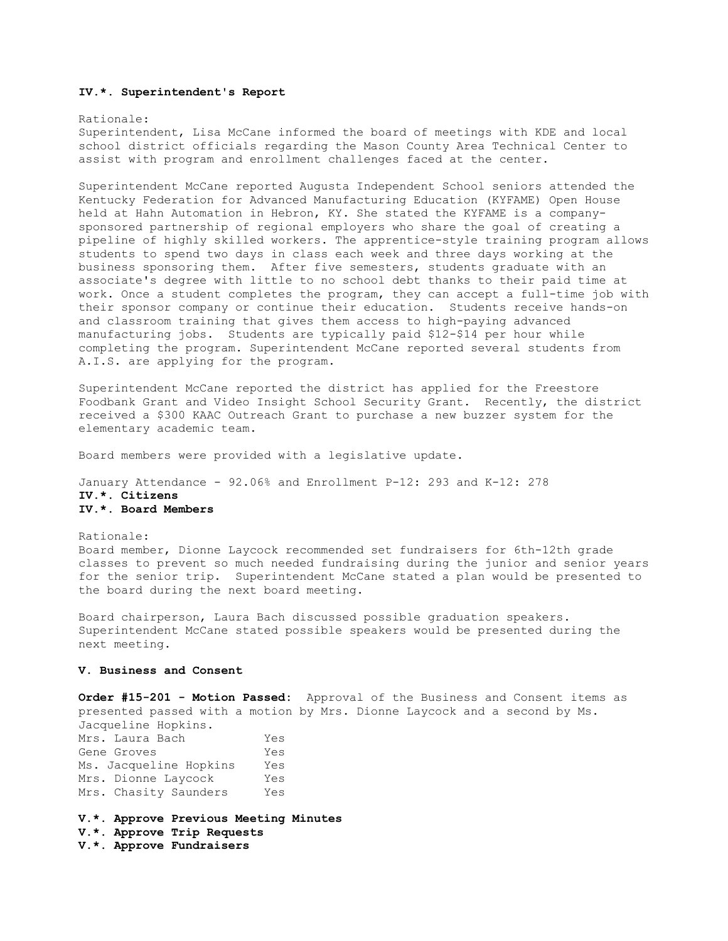### **IV.\*. Superintendent's Report**

#### Rationale:

Superintendent, Lisa McCane informed the board of meetings with KDE and local school district officials regarding the Mason County Area Technical Center to assist with program and enrollment challenges faced at the center.

Superintendent McCane reported Augusta Independent School seniors attended the Kentucky Federation for Advanced Manufacturing Education (KYFAME) Open House held at Hahn Automation in Hebron, KY. She stated the KYFAME is a companysponsored partnership of regional employers who share the goal of creating a pipeline of highly skilled workers. The apprentice-style training program allows students to spend two days in class each week and three days working at the business sponsoring them. After five semesters, students graduate with an associate's degree with little to no school debt thanks to their paid time at work. Once a student completes the program, they can accept a full-time job with their sponsor company or continue their education. Students receive hands-on and classroom training that gives them access to high-paying advanced manufacturing jobs. Students are typically paid \$12-\$14 per hour while completing the program. Superintendent McCane reported several students from A.I.S. are applying for the program.

Superintendent McCane reported the district has applied for the Freestore Foodbank Grant and Video Insight School Security Grant. Recently, the district received a \$300 KAAC Outreach Grant to purchase a new buzzer system for the elementary academic team.

Board members were provided with a legislative update.

January Attendance - 92.06% and Enrollment P-12: 293 and K-12: 278 **IV.\*. Citizens IV.\*. Board Members** 

Rationale: Board member, Dionne Laycock recommended set fundraisers for 6th-12th grade classes to prevent so much needed fundraising during the junior and senior years for the senior trip. Superintendent McCane stated a plan would be presented to the board during the next board meeting.

Board chairperson, Laura Bach discussed possible graduation speakers. Superintendent McCane stated possible speakers would be presented during the next meeting.

### **V. Business and Consent**

**Order #15-201 - Motion Passed:** Approval of the Business and Consent items as presented passed with a motion by Mrs. Dionne Laycock and a second by Ms. Jacqueline Hopkins.

Mrs. Laura Bach Yes Gene Groves Tes Ms. Jacqueline Hopkins Yes Mrs. Dionne Laycock Yes Mrs. Chasity Saunders Yes

**V.\*. Approve Previous Meeting Minutes** 

**V.\*. Approve Trip Requests** 

**V.\*. Approve Fundraisers**